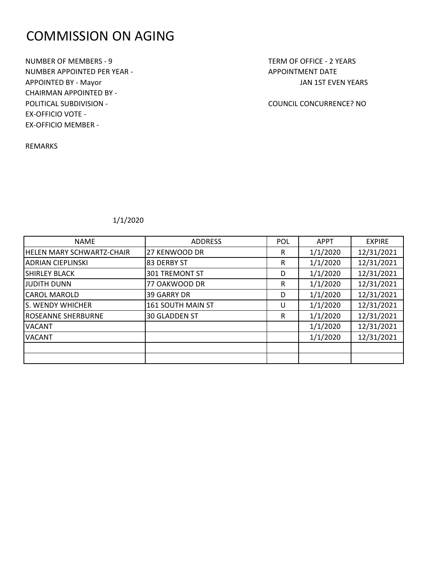# COMMISSION ON AGING

NUMBER OF MEMBERS - 9 TERM OF OFFICE - 2 YEARS NUMBER APPOINTED PER YEAR - APPOINTMENT DATE APPOINTED BY - Mayor JAN 1ST EVEN YEARS CHAIRMAN APPOINTED BY - POLITICAL SUBDIVISION - COUNCIL CONCURRENCE? NO EX-OFFICIO VOTE - EX-OFFICIO MEMBER -

REMARKS

| <b>NAME</b>                      | <b>ADDRESS</b>        | <b>POL</b> | <b>APPT</b> | <b>EXPIRE</b> |
|----------------------------------|-----------------------|------------|-------------|---------------|
| <b>HELEN MARY SCHWARTZ-CHAIR</b> | 27 KENWOOD DR         | R          | 1/1/2020    | 12/31/2021    |
| <b>ADRIAN CIEPLINSKI</b>         | 83 DERBY ST           | R          | 1/1/2020    | 12/31/2021    |
| <b>SHIRLEY BLACK</b>             | <b>301 TREMONT ST</b> | D          | 1/1/2020    | 12/31/2021    |
| <b>JUDITH DUNN</b>               | 77 OAKWOOD DR         | R          | 1/1/2020    | 12/31/2021    |
| <b>CAROL MAROLD</b>              | <b>39 GARRY DR</b>    | D          | 1/1/2020    | 12/31/2021    |
| S. WENDY WHICHER                 | 161 SOUTH MAIN ST     | U          | 1/1/2020    | 12/31/2021    |
| <b>ROSEANNE SHERBURNE</b>        | <b>30 GLADDEN ST</b>  | R          | 1/1/2020    | 12/31/2021    |
| <b>VACANT</b>                    |                       |            | 1/1/2020    | 12/31/2021    |
| <b>VACANT</b>                    |                       |            | 1/1/2020    | 12/31/2021    |
|                                  |                       |            |             |               |
|                                  |                       |            |             |               |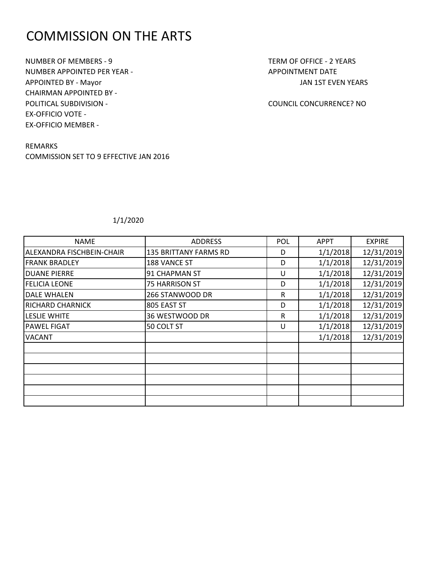# COMMISSION ON THE ARTS

NUMBER OF MEMBERS - 9 TERM OF OFFICE - 2 YEARS NUMBER APPOINTED PER YEAR - APPOINTMENT DATE APPOINTED BY - Mayor JAN 1ST EVEN YEARS CHAIRMAN APPOINTED BY - POLITICAL SUBDIVISION - COUNCIL CONCURRENCE? NO EX-OFFICIO VOTE - EX-OFFICIO MEMBER -

REMARKS COMMISSION SET TO 9 EFFECTIVE JAN 2016

| <b>NAME</b>               | <b>ADDRESS</b>               | <b>POL</b> | <b>APPT</b> | <b>EXPIRE</b> |
|---------------------------|------------------------------|------------|-------------|---------------|
| ALEXANDRA FISCHBEIN-CHAIR | <b>135 BRITTANY FARMS RD</b> | D          | 1/1/2018    | 12/31/2019    |
| <b>FRANK BRADLEY</b>      | 188 VANCE ST                 | D          | 1/1/2018    | 12/31/2019    |
| <b>DUANE PIERRE</b>       | 91 CHAPMAN ST                | U          | 1/1/2018    | 12/31/2019    |
| <b>FELICIA LEONE</b>      | <b>75 HARRISON ST</b>        | D          | 1/1/2018    | 12/31/2019    |
| <b>DALE WHALEN</b>        | 266 STANWOOD DR              | R          | 1/1/2018    | 12/31/2019    |
| <b>RICHARD CHARNICK</b>   | 805 EAST ST                  | D          | 1/1/2018    | 12/31/2019    |
| <b>LESLIE WHITE</b>       | 36 WESTWOOD DR               | R          | 1/1/2018    | 12/31/2019    |
| <b>PAWEL FIGAT</b>        | 50 COLT ST                   | U          | 1/1/2018    | 12/31/2019    |
| <b>VACANT</b>             |                              |            | 1/1/2018    | 12/31/2019    |
|                           |                              |            |             |               |
|                           |                              |            |             |               |
|                           |                              |            |             |               |
|                           |                              |            |             |               |
|                           |                              |            |             |               |
|                           |                              |            |             |               |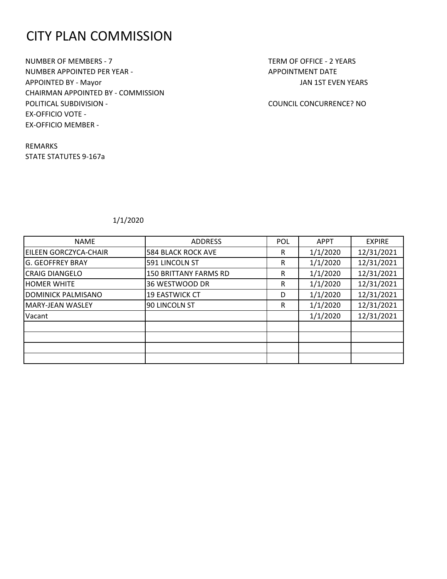# CITY PLAN COMMISSION

NUMBER OF MEMBERS - 7 TERM OF OFFICE - 2 YEARS NUMBER APPOINTED PER YEAR - APPOINTMENT DATE APPOINTED BY - Mayor JAN 1ST EVEN YEARS CHAIRMAN APPOINTED BY - COMMISSION POLITICAL SUBDIVISION - COUNCIL CONCURRENCE? NO EX-OFFICIO VOTE - EX-OFFICIO MEMBER -

REMARKS STATE STATUTES 9-167a

| <b>NAME</b>             | <b>ADDRESS</b>               | <b>POL</b> | <b>APPT</b> | <b>EXPIRE</b> |
|-------------------------|------------------------------|------------|-------------|---------------|
| EILEEN GORCZYCA-CHAIR   | <b>584 BLACK ROCK AVE</b>    | R          | 1/1/2020    | 12/31/2021    |
| <b>G. GEOFFREY BRAY</b> | 591 LINCOLN ST               | R          | 1/1/2020    | 12/31/2021    |
| <b>CRAIG DIANGELO</b>   | <b>150 BRITTANY FARMS RD</b> | R          | 1/1/2020    | 12/31/2021    |
| <b>IHOMER WHITE</b>     | 36 WESTWOOD DR               | R          | 1/1/2020    | 12/31/2021    |
| DOMINICK PALMISANO      | <b>19 EASTWICK CT</b>        | D          | 1/1/2020    | 12/31/2021    |
| MARY-JEAN WASLEY        | 90 LINCOLN ST                | R          | 1/1/2020    | 12/31/2021    |
| Vacant                  |                              |            | 1/1/2020    | 12/31/2021    |
|                         |                              |            |             |               |
|                         |                              |            |             |               |
|                         |                              |            |             |               |
|                         |                              |            |             |               |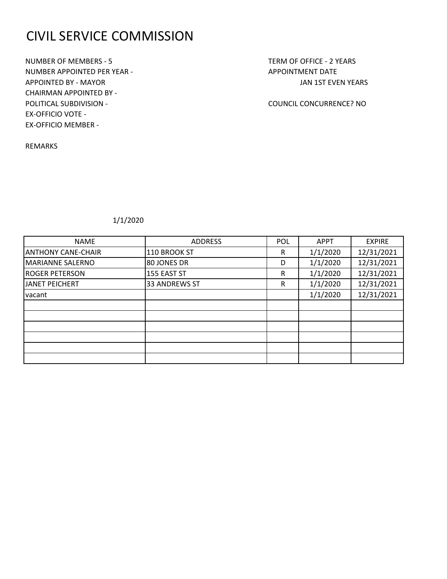# CIVIL SERVICE COMMISSION

NUMBER OF MEMBERS - 5 TERM OF OFFICE - 2 YEARS NUMBER APPOINTED PER YEAR - APPOINTMENT DATE APPOINTED BY - MAYOR JAN 1ST EVEN YEARS CHAIRMAN APPOINTED BY - POLITICAL SUBDIVISION - COUNCIL CONCURRENCE? NO EX-OFFICIO VOTE - EX-OFFICIO MEMBER -

REMARKS

| <b>NAME</b>               | <b>ADDRESS</b>       | <b>POL</b> | <b>APPT</b> | <b>EXPIRE</b> |
|---------------------------|----------------------|------------|-------------|---------------|
| <b>ANTHONY CANE-CHAIR</b> | 110 BROOK ST         | R          | 1/1/2020    | 12/31/2021    |
| <b>MARIANNE SALERNO</b>   | 80 JONES DR          | D          | 1/1/2020    | 12/31/2021    |
| <b>ROGER PETERSON</b>     | 155 EAST ST          | R          | 1/1/2020    | 12/31/2021    |
| <b>JANET PEICHERT</b>     | <b>33 ANDREWS ST</b> | R          | 1/1/2020    | 12/31/2021    |
| vacant                    |                      |            | 1/1/2020    | 12/31/2021    |
|                           |                      |            |             |               |
|                           |                      |            |             |               |
|                           |                      |            |             |               |
|                           |                      |            |             |               |
|                           |                      |            |             |               |
|                           |                      |            |             |               |
|                           |                      |            |             |               |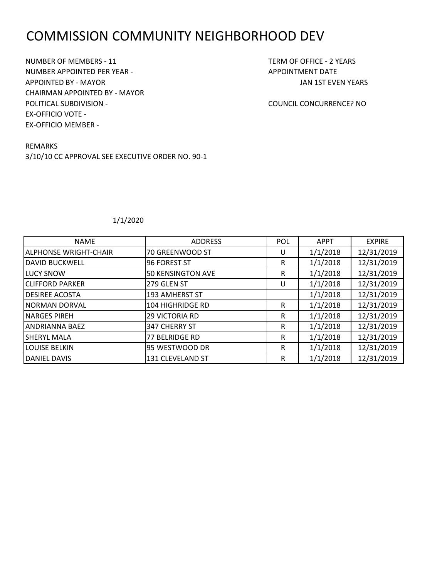# COMMISSION COMMUNITY NEIGHBORHOOD DEV

NUMBER OF MEMBERS - 11 TERM OF OFFICE - 2 YEARS NUMBER APPOINTED PER YEAR - APPOINTMENT DATE APPOINTED BY - MAYOR JAN 1ST EVEN YEARS CHAIRMAN APPOINTED BY - MAYOR POLITICAL SUBDIVISION - COUNCIL CONCURRENCE? NO EX-OFFICIO VOTE - EX-OFFICIO MEMBER -

REMARKS 3/10/10 CC APPROVAL SEE EXECUTIVE ORDER NO. 90-1

| <b>NAME</b>                  | <b>ADDRESS</b>           | <b>POL</b> | <b>APPT</b> | <b>EXPIRE</b> |
|------------------------------|--------------------------|------------|-------------|---------------|
| <b>ALPHONSE WRIGHT-CHAIR</b> | 70 GREENWOOD ST          | U          | 1/1/2018    | 12/31/2019    |
| <b>DAVID BUCKWELL</b>        | 96 FOREST ST             | R          | 1/1/2018    | 12/31/2019    |
| <b>LUCY SNOW</b>             | <b>50 KENSINGTON AVE</b> | R          | 1/1/2018    | 12/31/2019    |
| <b>CLIFFORD PARKER</b>       | 279 GLEN ST              | U          | 1/1/2018    | 12/31/2019    |
| <b>DESIREE ACOSTA</b>        | 193 AMHERST ST           |            | 1/1/2018    | 12/31/2019    |
| <b>NORMAN DORVAL</b>         | 104 HIGHRIDGE RD         | R          | 1/1/2018    | 12/31/2019    |
| <b>NARGES PIREH</b>          | <b>29 VICTORIA RD</b>    | R          | 1/1/2018    | 12/31/2019    |
| <b>ANDRIANNA BAEZ</b>        | 347 CHERRY ST            | R          | 1/1/2018    | 12/31/2019    |
| <b>SHERYL MALA</b>           | 77 BELRIDGE RD           | R          | 1/1/2018    | 12/31/2019    |
| <b>LOUISE BELKIN</b>         | 95 WESTWOOD DR           | R          | 1/1/2018    | 12/31/2019    |
| <b>DANIEL DAVIS</b>          | 131 CLEVELAND ST         | R          | 1/1/2018    | 12/31/2019    |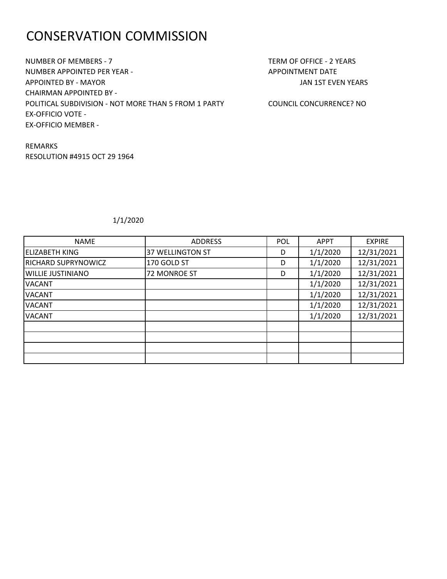# CONSERVATION COMMISSION

NUMBER OF MEMBERS - 7 TERM OF OFFICE - 2 YEARS NUMBER APPOINTED PER YEAR - APPOINTMENT DATE APPOINTED BY - MAYOR JAN 1ST EVEN YEARS CHAIRMAN APPOINTED BY - POLITICAL SUBDIVISION - NOT MORE THAN 5 FROM 1 PARTY COUNCIL CONCURRENCE? NO EX-OFFICIO VOTE - EX-OFFICIO MEMBER -

REMARKS RESOLUTION #4915 OCT 29 1964

| <b>NAME</b>                | <b>ADDRESS</b>      | <b>POL</b> | <b>APPT</b> | <b>EXPIRE</b> |
|----------------------------|---------------------|------------|-------------|---------------|
| <b>ELIZABETH KING</b>      | 37 WELLINGTON ST    | D          | 1/1/2020    | 12/31/2021    |
| <b>RICHARD SUPRYNOWICZ</b> | 170 GOLD ST         | D          | 1/1/2020    | 12/31/2021    |
| <b>WILLIE JUSTINIANO</b>   | <b>72 MONROE ST</b> | D          | 1/1/2020    | 12/31/2021    |
| <b>VACANT</b>              |                     |            | 1/1/2020    | 12/31/2021    |
| <b>VACANT</b>              |                     |            | 1/1/2020    | 12/31/2021    |
| <b>VACANT</b>              |                     |            | 1/1/2020    | 12/31/2021    |
| <b>VACANT</b>              |                     |            | 1/1/2020    | 12/31/2021    |
|                            |                     |            |             |               |
|                            |                     |            |             |               |
|                            |                     |            |             |               |
|                            |                     |            |             |               |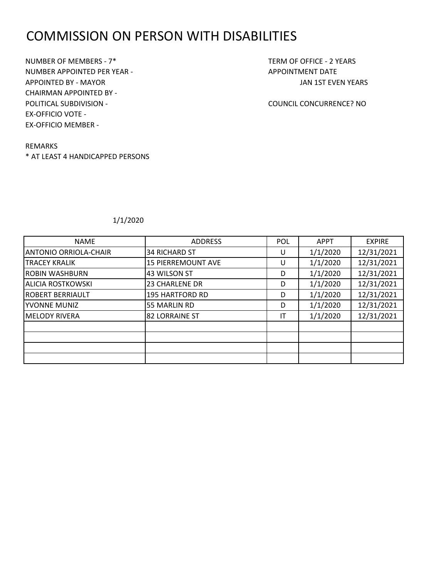### COMMISSION ON PERSON WITH DISABILITIES

NUMBER OF MEMBERS - 7\* TERM OF OFFICE - 2 YEARS NUMBER APPOINTED PER YEAR - APPOINTMENT DATE APPOINTED BY - MAYOR JAN 1ST EVEN YEARS CHAIRMAN APPOINTED BY - POLITICAL SUBDIVISION - COUNCIL CONCURRENCE? NO EX-OFFICIO VOTE - EX-OFFICIO MEMBER -

#### REMARKS

\* AT LEAST 4 HANDICAPPED PERSONS

| <b>NAME</b>              | <b>ADDRESS</b>            | <b>POL</b> | <b>APPT</b> | <b>EXPIRE</b> |
|--------------------------|---------------------------|------------|-------------|---------------|
| ANTONIO ORRIOLA-CHAIR    | <b>34 RICHARD ST</b>      | U          | 1/1/2020    | 12/31/2021    |
| TRACEY KRALIK            | <b>15 PIERREMOUNT AVE</b> | U          | 1/1/2020    | 12/31/2021    |
| <b>ROBIN WASHBURN</b>    | 43 WILSON ST              | D          | 1/1/2020    | 12/31/2021    |
| <b>ALICIA ROSTKOWSKI</b> | <b>23 CHARLENE DR</b>     | D          | 1/1/2020    | 12/31/2021    |
| <b>ROBERT BERRIAULT</b>  | 195 HARTFORD RD           | D          | 1/1/2020    | 12/31/2021    |
| YVONNE MUNIZ             | 55 MARLIN RD              | D          | 1/1/2020    | 12/31/2021    |
| <b>MELODY RIVERA</b>     | <b>82 LORRAINE ST</b>     | IT         | 1/1/2020    | 12/31/2021    |
|                          |                           |            |             |               |
|                          |                           |            |             |               |
|                          |                           |            |             |               |
|                          |                           |            |             |               |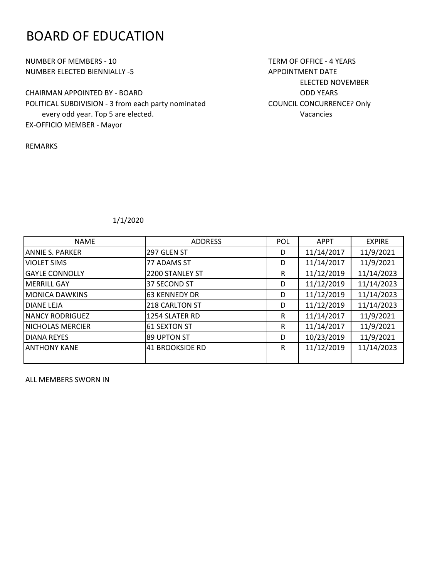### BOARD OF EDUCATION

NUMBER OF MEMBERS - 10 TERM OF OFFICE - 4 YEARS NUMBER ELECTED BIENNIALLY -5 APPOINTMENT DATE

CHAIRMAN APPOINTED BY - BOARD **CHAIRMAN APPOINTED BY - BOARD** POLITICAL SUBDIVISION - 3 from each party nominated COUNCIL CONCURRENCE? Only every odd year. Top 5 are elected. Vacancies EX-OFFICIO MEMBER - Mayor

REMARKS

ELECTED NOVEMBER

### 1/1/2020

| <b>NAME</b>            | <b>ADDRESS</b>       | POL | <b>APPT</b> | <b>EXPIRE</b> |
|------------------------|----------------------|-----|-------------|---------------|
| <b>ANNIE S. PARKER</b> | 297 GLEN ST          | D   | 11/14/2017  | 11/9/2021     |
| <b>VIOLET SIMS</b>     | 77 ADAMS ST          | D   | 11/14/2017  | 11/9/2021     |
| <b>GAYLE CONNOLLY</b>  | 2200 STANLEY ST      | R   | 11/12/2019  | 11/14/2023    |
| <b>MERRILL GAY</b>     | 37 SECOND ST         | D   | 11/12/2019  | 11/14/2023    |
| <b>MONICA DAWKINS</b>  | <b>63 KENNEDY DR</b> | D   | 11/12/2019  | 11/14/2023    |
| <b>DIANE LEJA</b>      | 218 CARLTON ST       | D   | 11/12/2019  | 11/14/2023    |
| <b>NANCY RODRIGUEZ</b> | 1254 SLATER RD       | R   | 11/14/2017  | 11/9/2021     |
| NICHOLAS MERCIER       | <b>61 SEXTON ST</b>  | R   | 11/14/2017  | 11/9/2021     |
| <b>DIANA REYES</b>     | 89 UPTON ST          | D   | 10/23/2019  | 11/9/2021     |
| <b>ANTHONY KANE</b>    | 41 BROOKSIDE RD      | R   | 11/12/2019  | 11/14/2023    |
|                        |                      |     |             |               |

ALL MEMBERS SWORN IN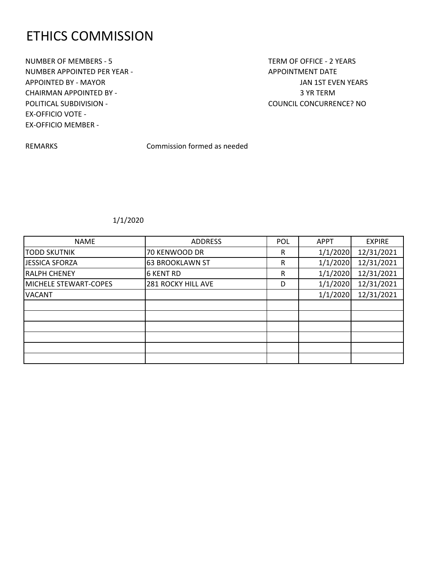## ETHICS COMMISSION

NUMBER OF MEMBERS - 5 TERM OF OFFICE - 2 YEARS NUMBER APPOINTED PER YEAR - APPOINTMENT DATE APPOINTED BY - MAYOR JAN 1ST EVEN YEARS CHAIRMAN APPOINTED BY - 3 YR TERM POLITICAL SUBDIVISION - COUNCIL CONCURRENCE? NO EX-OFFICIO VOTE - EX-OFFICIO MEMBER -

REMARKS Commission formed as needed

| <b>NAME</b>           | <b>ADDRESS</b>            | <b>POL</b> | <b>APPT</b> | <b>EXPIRE</b> |
|-----------------------|---------------------------|------------|-------------|---------------|
| <b>TODD SKUTNIK</b>   | 70 KENWOOD DR             | R          | 1/1/2020    | 12/31/2021    |
| JESSICA SFORZA        | 63 BROOKLAWN ST           | R          | 1/1/2020    | 12/31/2021    |
| <b>RALPH CHENEY</b>   | <b>6 KENT RD</b>          | R          | 1/1/2020    | 12/31/2021    |
| MICHELE STEWART-COPES | <b>281 ROCKY HILL AVE</b> | D          | 1/1/2020    | 12/31/2021    |
| <b>VACANT</b>         |                           |            | 1/1/2020    | 12/31/2021    |
|                       |                           |            |             |               |
|                       |                           |            |             |               |
|                       |                           |            |             |               |
|                       |                           |            |             |               |
|                       |                           |            |             |               |
|                       |                           |            |             |               |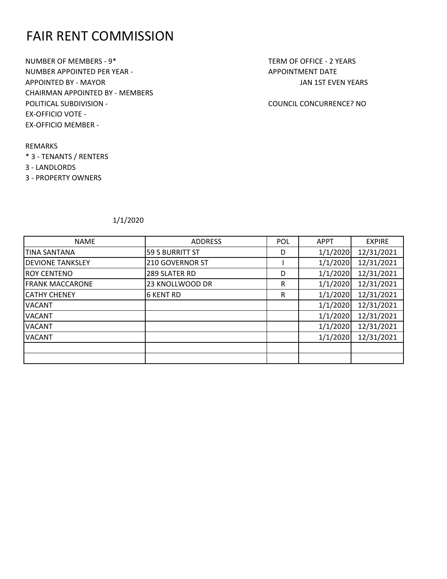## FAIR RENT COMMISSION

NUMBER OF MEMBERS - 9\* TERM OF OFFICE - 2 YEARS NUMBER APPOINTED PER YEAR - APPOINTMENT DATE APPOINTED BY - MAYOR JAN 1ST EVEN YEARS CHAIRMAN APPOINTED BY - MEMBERS POLITICAL SUBDIVISION - COUNCIL CONCURRENCE? NO EX-OFFICIO VOTE - EX-OFFICIO MEMBER -

REMARKS \* 3 - TENANTS / RENTERS 3 - LANDLORDS

3 - PROPERTY OWNERS

| <b>NAME</b>             | <b>ADDRESS</b>         | POL | <b>APPT</b> | <b>EXPIRE</b> |
|-------------------------|------------------------|-----|-------------|---------------|
| <b>TINA SANTANA</b>     | <b>59 S BURRITT ST</b> | D   | 1/1/2020    | 12/31/2021    |
| <b>DEVIONE TANKSLEY</b> | 210 GOVERNOR ST        |     | 1/1/2020    | 12/31/2021    |
| <b>ROY CENTENO</b>      | 289 SLATER RD          | D   | 1/1/2020    | 12/31/2021    |
| <b>FRANK MACCARONE</b>  | 23 KNOLLWOOD DR        | R   | 1/1/2020    | 12/31/2021    |
| <b>CATHY CHENEY</b>     | <b>6 KENT RD</b>       | R   | 1/1/2020    | 12/31/2021    |
| <b>VACANT</b>           |                        |     | 1/1/2020    | 12/31/2021    |
| <b>VACANT</b>           |                        |     | 1/1/2020    | 12/31/2021    |
| <b>VACANT</b>           |                        |     | 1/1/2020    | 12/31/2021    |
| <b>VACANT</b>           |                        |     | 1/1/2020    | 12/31/2021    |
|                         |                        |     |             |               |
|                         |                        |     |             |               |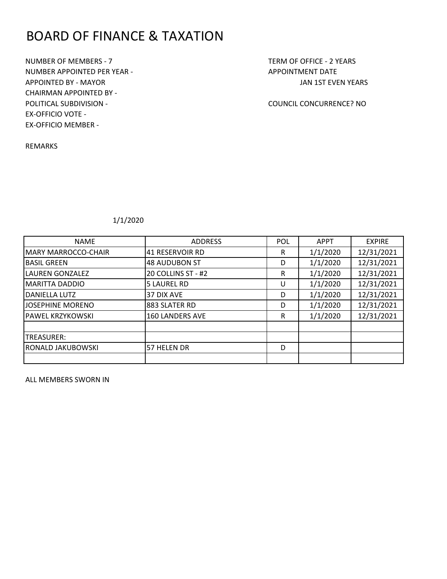# BOARD OF FINANCE & TAXATION

NUMBER OF MEMBERS - 7 TERM OF OFFICE - 2 YEARS NUMBER APPOINTED PER YEAR - APPOINTMENT DATE APPOINTED BY - MAYOR JAN 1ST EVEN YEARS CHAIRMAN APPOINTED BY - POLITICAL SUBDIVISION - COUNCIL CONCURRENCE? NO EX-OFFICIO VOTE - EX-OFFICIO MEMBER -

REMARKS

1/1/2020

| <b>NAME</b>              | <b>ADDRESS</b>       | <b>POL</b> | <b>APPT</b> | <b>EXPIRE</b> |
|--------------------------|----------------------|------------|-------------|---------------|
| MARY MARROCCO-CHAIR      | 41 RESERVOIR RD      | R          | 1/1/2020    | 12/31/2021    |
| <b>BASIL GREEN</b>       | <b>48 AUDUBON ST</b> | D          | 1/1/2020    | 12/31/2021    |
| <b>LAUREN GONZALEZ</b>   | 20 COLLINS ST - #2   | R          | 1/1/2020    | 12/31/2021    |
| <b>MARITTA DADDIO</b>    | <b>5 LAUREL RD</b>   | U          | 1/1/2020    | 12/31/2021    |
| <b>DANIELLA LUTZ</b>     | 37 DIX AVE           | D          | 1/1/2020    | 12/31/2021    |
| JOSEPHINE MORENO         | 883 SLATER RD        | D          | 1/1/2020    | 12/31/2021    |
| <b>PAWEL KRZYKOWSKI</b>  | 160 LANDERS AVE      | R          | 1/1/2020    | 12/31/2021    |
|                          |                      |            |             |               |
| <b>TREASURER:</b>        |                      |            |             |               |
| <b>RONALD JAKUBOWSKI</b> | 57 HELEN DR          | D          |             |               |
|                          |                      |            |             |               |

ALL MEMBERS SWORN IN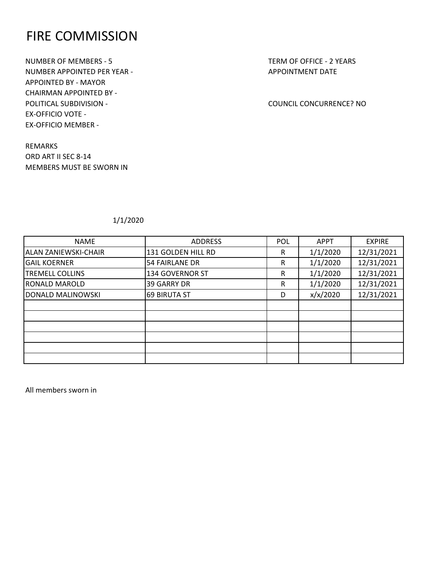### FIRE COMMISSION

NUMBER OF MEMBERS - 5 TERM OF OFFICE - 2 YEARS NUMBER APPOINTED PER YEAR - APPOINTMENT DATE APPOINTED BY - MAYOR CHAIRMAN APPOINTED BY - POLITICAL SUBDIVISION - COUNCIL CONCURRENCE? NO EX-OFFICIO VOTE - EX-OFFICIO MEMBER -

REMARKS ORD ART II SEC 8-14 MEMBERS MUST BE SWORN IN

1/1/2020

| <b>ADDRESS</b>      | <b>POL</b> | <b>APPT</b> | <b>EXPIRE</b> |
|---------------------|------------|-------------|---------------|
| 131 GOLDEN HILL RD  | R          | 1/1/2020    | 12/31/2021    |
| 54 FAIRLANE DR      | R          | 1/1/2020    | 12/31/2021    |
| 134 GOVERNOR ST     | R          | 1/1/2020    | 12/31/2021    |
| <b>39 GARRY DR</b>  | R          | 1/1/2020    | 12/31/2021    |
| <b>69 BIRUTA ST</b> | D          | x/x/2020    | 12/31/2021    |
|                     |            |             |               |
|                     |            |             |               |
|                     |            |             |               |
|                     |            |             |               |
|                     |            |             |               |
|                     |            |             |               |
|                     |            |             |               |

All members sworn in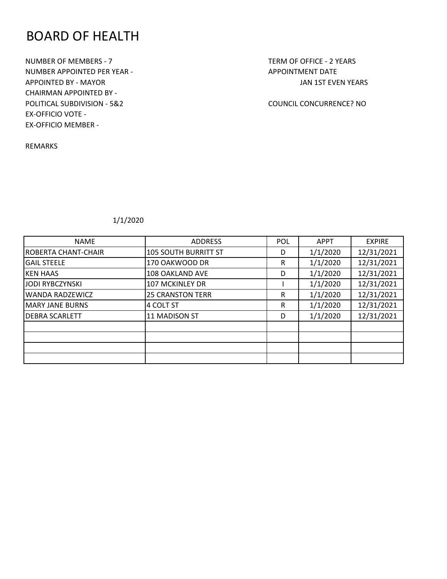### BOARD OF HEALTH

NUMBER OF MEMBERS - 7 TERM OF OFFICE - 2 YEARS NUMBER APPOINTED PER YEAR - APPOINTMENT DATE APPOINTED BY - MAYOR JAN 1ST EVEN YEARS CHAIRMAN APPOINTED BY - POLITICAL SUBDIVISION - 5&2 COUNCIL CONCURRENCE? NO EX-OFFICIO VOTE - EX-OFFICIO MEMBER -

REMARKS

| <b>NAME</b>                | <b>ADDRESS</b>          | POL | <b>APPT</b> | <b>EXPIRE</b> |
|----------------------------|-------------------------|-----|-------------|---------------|
| <b>ROBERTA CHANT-CHAIR</b> | 105 SOUTH BURRITT ST    | D   | 1/1/2020    | 12/31/2021    |
| <b>GAIL STEELE</b>         | 170 OAKWOOD DR          | R   | 1/1/2020    | 12/31/2021    |
| <b>KEN HAAS</b>            | <b>108 OAKLAND AVE</b>  | D   | 1/1/2020    | 12/31/2021    |
| JODI RYBCZYNSKI            | 107 MCKINLEY DR         |     | 1/1/2020    | 12/31/2021    |
| <b>WANDA RADZEWICZ</b>     | <b>25 CRANSTON TERR</b> | R   | 1/1/2020    | 12/31/2021    |
| <b>MARY JANE BURNS</b>     | 4 COLT ST               | R   | 1/1/2020    | 12/31/2021    |
| <b>DEBRA SCARLETT</b>      | 11 MADISON ST           | D   | 1/1/2020    | 12/31/2021    |
|                            |                         |     |             |               |
|                            |                         |     |             |               |
|                            |                         |     |             |               |
|                            |                         |     |             |               |
|                            |                         |     |             |               |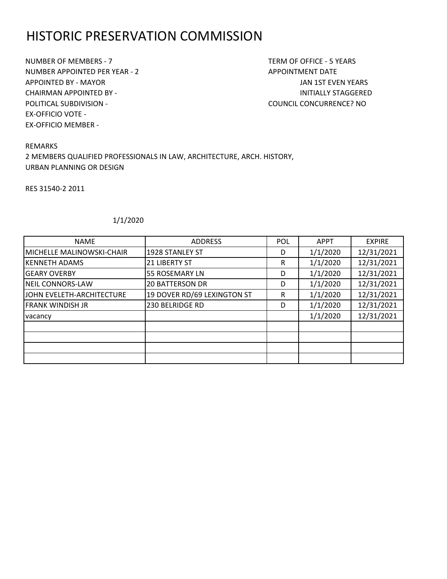# HISTORIC PRESERVATION COMMISSION

NUMBER OF MEMBERS - 7 TERM OF OFFICE - 5 YEARS NUMBER APPOINTED PER YEAR - 2 APPOINTMENT DATE APPOINTED BY - MAYOR JAN 1ST EVEN YEARS CHAIRMAN APPOINTED BY - INITIALLY STAGGERED POLITICAL SUBDIVISION - COUNCIL CONCURRENCE? NO EX-OFFICIO VOTE - EX-OFFICIO MEMBER -

REMARKS 2 MEMBERS QUALIFIED PROFESSIONALS IN LAW, ARCHITECTURE, ARCH. HISTORY, URBAN PLANNING OR DESIGN

RES 31540-2 2011

| <b>NAME</b>               | <b>ADDRESS</b>              | <b>POL</b> | <b>APPT</b> | <b>EXPIRE</b> |
|---------------------------|-----------------------------|------------|-------------|---------------|
| MICHELLE MALINOWSKI-CHAIR | 1928 STANLEY ST             | D          | 1/1/2020    | 12/31/2021    |
| <b>KENNETH ADAMS</b>      | 21 LIBERTY ST               | R          | 1/1/2020    | 12/31/2021    |
| <b>GEARY OVERBY</b>       | <b>55 ROSEMARY LN</b>       | D          | 1/1/2020    | 12/31/2021    |
| <b>NEIL CONNORS-LAW</b>   | <b>20 BATTERSON DR</b>      | D          | 1/1/2020    | 12/31/2021    |
| JOHN EVELETH-ARCHITECTURE | 19 DOVER RD/69 LEXINGTON ST | R          | 1/1/2020    | 12/31/2021    |
| <b>FRANK WINDISH JR</b>   | 230 BELRIDGE RD             | D          | 1/1/2020    | 12/31/2021    |
| vacancy                   |                             |            | 1/1/2020    | 12/31/2021    |
|                           |                             |            |             |               |
|                           |                             |            |             |               |
|                           |                             |            |             |               |
|                           |                             |            |             |               |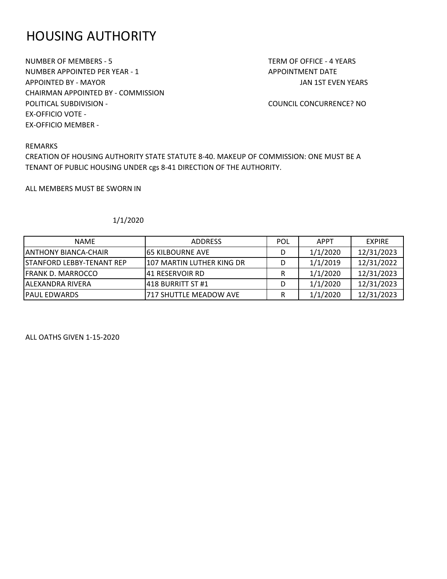# HOUSING AUTHORITY

NUMBER OF MEMBERS - 5 TERM OF OFFICE - 4 YEARS NUMBER APPOINTED PER YEAR - 1 APPOINTMENT DATE APPOINTED BY - MAYOR JAN 1ST EVEN YEARS CHAIRMAN APPOINTED BY - COMMISSION POLITICAL SUBDIVISION - COUNCIL CONCURRENCE? NO EX-OFFICIO VOTE - EX-OFFICIO MEMBER -

#### REMARKS

CREATION OF HOUSING AUTHORITY STATE STATUTE 8-40. MAKEUP OF COMMISSION: ONE MUST BE A TENANT OF PUBLIC HOUSING UNDER cgs 8-41 DIRECTION OF THE AUTHORITY.

ALL MEMBERS MUST BE SWORN IN

#### 1/1/2020

| <b>NAME</b>                      | <b>ADDRESS</b>            | <b>POL</b> | <b>APPT</b> | <b>EXPIRE</b> |
|----------------------------------|---------------------------|------------|-------------|---------------|
| <b>JANTHONY BIANCA-CHAIR</b>     | 165 KILBOURNE AVE         |            | 1/1/2020    | 12/31/2023    |
| <b>STANFORD LEBBY-TENANT REP</b> | 107 MARTIN LUTHER KING DR |            | 1/1/2019    | 12/31/2022    |
| <b>FRANK D. MARROCCO</b>         | 141 RESERVOIR RD          |            | 1/1/2020    | 12/31/2023    |
| IALEXANDRA RIVERA                | 1418 BURRITT ST #1        |            | 1/1/2020    | 12/31/2023    |
| IPAUL EDWARDS                    | 717 SHUTTLE MEADOW AVE    |            | 1/1/2020    | 12/31/2023    |

ALL OATHS GIVEN 1-15-2020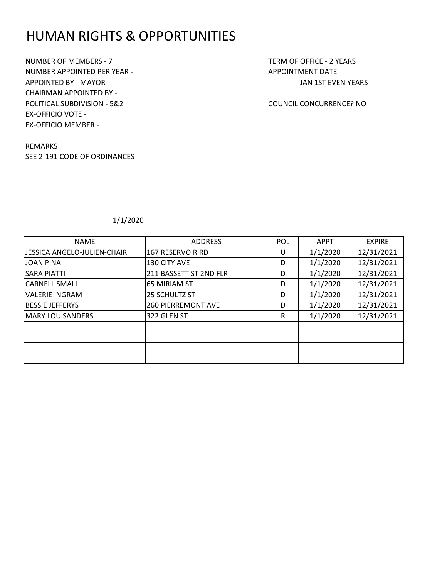## HUMAN RIGHTS & OPPORTUNITIES

NUMBER OF MEMBERS - 7 TERM OF OFFICE - 2 YEARS NUMBER APPOINTED PER YEAR - APPOINTMENT DATE APPOINTED BY - MAYOR JAN 1ST EVEN YEARS CHAIRMAN APPOINTED BY - POLITICAL SUBDIVISION - 5&2 COUNCIL CONCURRENCE? NO EX-OFFICIO VOTE - EX-OFFICIO MEMBER -

REMARKS SEE 2-191 CODE OF ORDINANCES

| <b>NAME</b>                 | <b>ADDRESS</b>            | <b>POL</b> | <b>APPT</b> | <b>EXPIRE</b> |
|-----------------------------|---------------------------|------------|-------------|---------------|
| JESSICA ANGELO-JULIEN-CHAIR | 167 RESERVOIR RD          | U          | 1/1/2020    | 12/31/2021    |
| <b>JOAN PINA</b>            | 130 CITY AVE              | D          | 1/1/2020    | 12/31/2021    |
| <b>SARA PIATTI</b>          | 211 BASSETT ST 2ND FLR    | D          | 1/1/2020    | 12/31/2021    |
| <b>CARNELL SMALL</b>        | <b>65 MIRIAM ST</b>       | D          | 1/1/2020    | 12/31/2021    |
| <b>VALERIE INGRAM</b>       | 25 SCHULTZ ST             | D          | 1/1/2020    | 12/31/2021    |
| <b>BESSIE JEFFERYS</b>      | <b>260 PIERREMONT AVE</b> | D          | 1/1/2020    | 12/31/2021    |
| <b>MARY LOU SANDERS</b>     | 322 GLEN ST               | R          | 1/1/2020    | 12/31/2021    |
|                             |                           |            |             |               |
|                             |                           |            |             |               |
|                             |                           |            |             |               |
|                             |                           |            |             |               |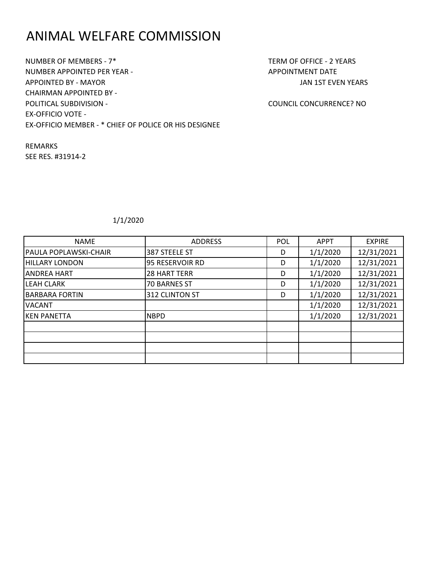# ANIMAL WELFARE COMMISSION

NUMBER OF MEMBERS - 7\* TERM OF OFFICE - 2 YEARS NUMBER APPOINTED PER YEAR - APPOINTMENT DATE APPOINTED BY - MAYOR JAN 1ST EVEN YEARS CHAIRMAN APPOINTED BY - POLITICAL SUBDIVISION - COUNCIL CONCURRENCE? NO EX-OFFICIO VOTE - EX-OFFICIO MEMBER - \* CHIEF OF POLICE OR HIS DESIGNEE

REMARKS SEE RES. #31914-2

| <b>NAME</b>                  | <b>ADDRESS</b>      | <b>POL</b> | <b>APPT</b> | <b>EXPIRE</b> |
|------------------------------|---------------------|------------|-------------|---------------|
| <b>PAULA POPLAWSKI-CHAIR</b> | 387 STEELE ST       | D          | 1/1/2020    | 12/31/2021    |
| <b>HILLARY LONDON</b>        | 95 RESERVOIR RD     | D          | 1/1/2020    | 12/31/2021    |
| <b>ANDREA HART</b>           | <b>28 HART TERR</b> | D          | 1/1/2020    | 12/31/2021    |
| <b>LEAH CLARK</b>            | <b>70 BARNES ST</b> | D          | 1/1/2020    | 12/31/2021    |
| <b>BARBARA FORTIN</b>        | 312 CLINTON ST      | D          | 1/1/2020    | 12/31/2021    |
| <b>VACANT</b>                |                     |            | 1/1/2020    | 12/31/2021    |
| <b>KEN PANETTA</b>           | <b>NBPD</b>         |            | 1/1/2020    | 12/31/2021    |
|                              |                     |            |             |               |
|                              |                     |            |             |               |
|                              |                     |            |             |               |
|                              |                     |            |             |               |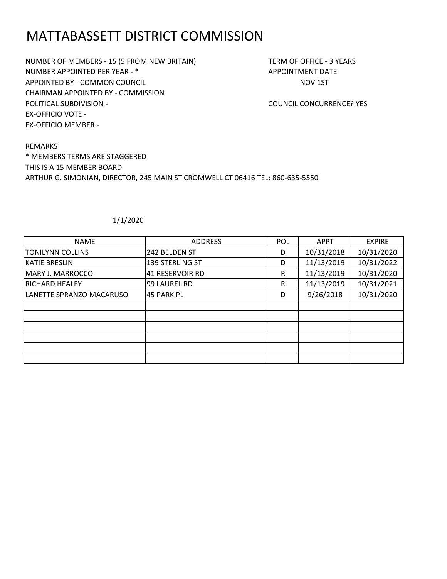# MATTABASSETT DISTRICT COMMISSION

NUMBER OF MEMBERS - 15 (5 FROM NEW BRITAIN) TERM OF OFFICE - 3 YEARS NUMBER APPOINTED PER YEAR - \* APPOINTMENT DATE APPOINTED BY - COMMON COUNCIL **APPOINTED BY - COMMON COUNCIL** CHAIRMAN APPOINTED BY - COMMISSION POLITICAL SUBDIVISION - COUNCIL CONCURRENCE? YES EX-OFFICIO VOTE - EX-OFFICIO MEMBER -

REMARKS \* MEMBERS TERMS ARE STAGGERED THIS IS A 15 MEMBER BOARD ARTHUR G. SIMONIAN, DIRECTOR, 245 MAIN ST CROMWELL CT 06416 TEL: 860-635-5550

| <b>NAME</b>              | <b>ADDRESS</b>    | <b>POL</b> | <b>APPT</b> | <b>EXPIRE</b> |
|--------------------------|-------------------|------------|-------------|---------------|
| <b>TONILYNN COLLINS</b>  | 242 BELDEN ST     | D          | 10/31/2018  | 10/31/2020    |
| <b>KATIE BRESLIN</b>     | 139 STERLING ST   | D          | 11/13/2019  | 10/31/2022    |
| MARY J. MARROCCO         | 41 RESERVOIR RD   | R          | 11/13/2019  | 10/31/2020    |
| <b>RICHARD HEALEY</b>    | 99 LAUREL RD      | R          | 11/13/2019  | 10/31/2021    |
| LANETTE SPRANZO MACARUSO | <b>45 PARK PL</b> | D          | 9/26/2018   | 10/31/2020    |
|                          |                   |            |             |               |
|                          |                   |            |             |               |
|                          |                   |            |             |               |
|                          |                   |            |             |               |
|                          |                   |            |             |               |
|                          |                   |            |             |               |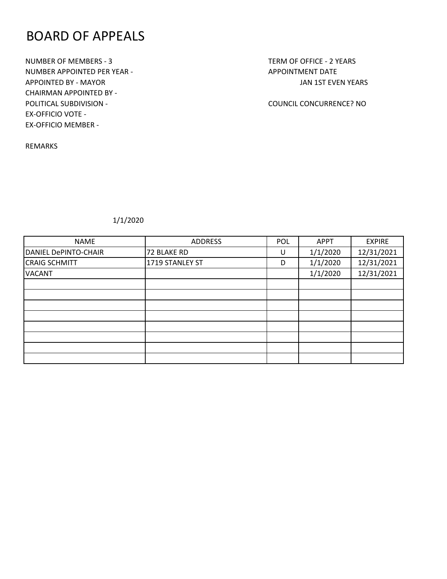### BOARD OF APPEALS

NUMBER OF MEMBERS - 3 TERM OF OFFICE - 2 YEARS NUMBER APPOINTED PER YEAR - APPOINTMENT DATE APPOINTED BY - MAYOR JAN 1ST EVEN YEARS CHAIRMAN APPOINTED BY - POLITICAL SUBDIVISION - COUNCIL CONCURRENCE? NO EX-OFFICIO VOTE - EX-OFFICIO MEMBER -

REMARKS

| <b>NAME</b>                 | <b>ADDRESS</b>  | POL | <b>APPT</b> | <b>EXPIRE</b> |
|-----------------------------|-----------------|-----|-------------|---------------|
| <b>DANIEL DePINTO-CHAIR</b> | 72 BLAKE RD     | U   | 1/1/2020    | 12/31/2021    |
| <b>CRAIG SCHMITT</b>        | 1719 STANLEY ST | D   | 1/1/2020    | 12/31/2021    |
| <b>VACANT</b>               |                 |     | 1/1/2020    | 12/31/2021    |
|                             |                 |     |             |               |
|                             |                 |     |             |               |
|                             |                 |     |             |               |
|                             |                 |     |             |               |
|                             |                 |     |             |               |
|                             |                 |     |             |               |
|                             |                 |     |             |               |
|                             |                 |     |             |               |
|                             |                 |     |             |               |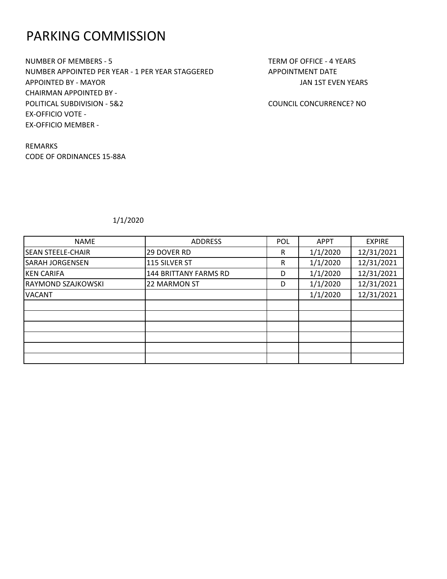### PARKING COMMISSION

NUMBER OF MEMBERS - 5 TERM OF OFFICE - 4 YEARS NUMBER APPOINTED PER YEAR - 1 PER YEAR STAGGERED APPOINTMENT DATE APPOINTED BY - MAYOR JAN 1ST EVEN YEARS CHAIRMAN APPOINTED BY - POLITICAL SUBDIVISION - 5&2 COUNCIL CONCURRENCE? NO EX-OFFICIO VOTE - EX-OFFICIO MEMBER -

REMARKS CODE OF ORDINANCES 15-88A

| <b>NAME</b>               | <b>ADDRESS</b>        | <b>POL</b> | <b>APPT</b> | <b>EXPIRE</b> |
|---------------------------|-----------------------|------------|-------------|---------------|
| <b>SEAN STEELE-CHAIR</b>  | <b>29 DOVER RD</b>    | R          | 1/1/2020    | 12/31/2021    |
| <b>SARAH JORGENSEN</b>    | 115 SILVER ST         | R          | 1/1/2020    | 12/31/2021    |
| <b>KEN CARIFA</b>         | 144 BRITTANY FARMS RD | D          | 1/1/2020    | 12/31/2021    |
| <b>RAYMOND SZAJKOWSKI</b> | 22 MARMON ST          | D          | 1/1/2020    | 12/31/2021    |
| <b>VACANT</b>             |                       |            | 1/1/2020    | 12/31/2021    |
|                           |                       |            |             |               |
|                           |                       |            |             |               |
|                           |                       |            |             |               |
|                           |                       |            |             |               |
|                           |                       |            |             |               |
|                           |                       |            |             |               |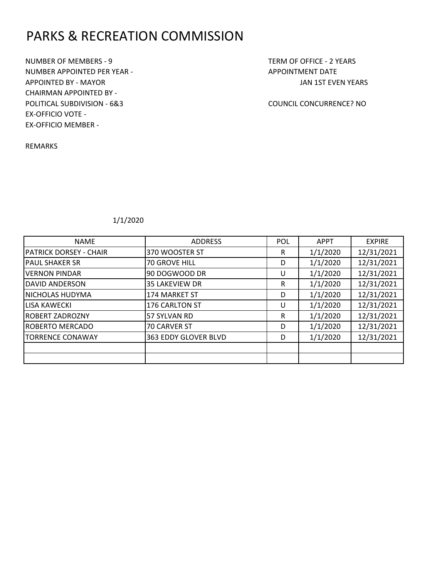# PARKS & RECREATION COMMISSION

NUMBER OF MEMBERS - 9 TERM OF OFFICE - 2 YEARS NUMBER APPOINTED PER YEAR - APPOINTMENT DATE APPOINTED BY - MAYOR JAN 1ST EVEN YEARS CHAIRMAN APPOINTED BY - POLITICAL SUBDIVISION - 6&3 COUNCIL CONCURRENCE? NO EX-OFFICIO VOTE - EX-OFFICIO MEMBER -

REMARKS

| <b>NAME</b>                   | <b>ADDRESS</b>        | <b>POL</b> | <b>APPT</b> | <b>EXPIRE</b> |
|-------------------------------|-----------------------|------------|-------------|---------------|
| <b>PATRICK DORSEY - CHAIR</b> | 370 WOOSTER ST        | R          | 1/1/2020    | 12/31/2021    |
| <b>PAUL SHAKER SR</b>         | 70 GROVE HILL         | D          | 1/1/2020    | 12/31/2021    |
| <b>VERNON PINDAR</b>          | 90 DOGWOOD DR         | U          | 1/1/2020    | 12/31/2021    |
| <b>DAVID ANDERSON</b>         | <b>35 LAKEVIEW DR</b> | R          | 1/1/2020    | 12/31/2021    |
| NICHOLAS HUDYMA               | 174 MARKET ST         | D          | 1/1/2020    | 12/31/2021    |
| LISA KAWECKI                  | 176 CARLTON ST        | U          | 1/1/2020    | 12/31/2021    |
| <b>ROBERT ZADROZNY</b>        | 57 SYLVAN RD          | R          | 1/1/2020    | 12/31/2021    |
| <b>ROBERTO MERCADO</b>        | 70 CARVER ST          | D          | 1/1/2020    | 12/31/2021    |
| <b>TORRENCE CONAWAY</b>       | 363 EDDY GLOVER BLVD  | D          | 1/1/2020    | 12/31/2021    |
|                               |                       |            |             |               |
|                               |                       |            |             |               |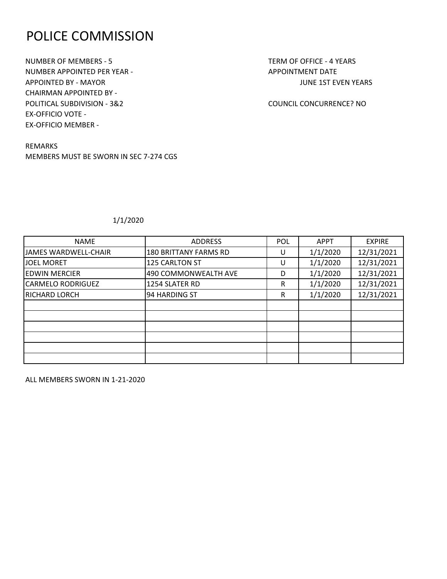### POLICE COMMISSION

NUMBER OF MEMBERS - 5 TERM OF OFFICE - 4 YEARS NUMBER APPOINTED PER YEAR - APPOINTMENT DATE APPOINTED BY - MAYOR **JUNE 1ST EVEN YEARS** CHAIRMAN APPOINTED BY - POLITICAL SUBDIVISION - 3&2 COUNCIL CONCURRENCE? NO EX-OFFICIO VOTE - EX-OFFICIO MEMBER -

REMARKS MEMBERS MUST BE SWORN IN SEC 7-274 CGS

### 1/1/2020

| <b>NAME</b>              | <b>ADDRESS</b>               | POL | <b>APPT</b> | <b>EXPIRE</b> |
|--------------------------|------------------------------|-----|-------------|---------------|
| JAMES WARDWELL-CHAIR     | <b>180 BRITTANY FARMS RD</b> | U   | 1/1/2020    | 12/31/2021    |
| <b>JOEL MORET</b>        | 125 CARLTON ST               |     | 1/1/2020    | 12/31/2021    |
| <b>EDWIN MERCIER</b>     | 490 COMMONWEALTH AVE         | D   | 1/1/2020    | 12/31/2021    |
| <b>CARMELO RODRIGUEZ</b> | 1254 SLATER RD               | R   | 1/1/2020    | 12/31/2021    |
| <b>RICHARD LORCH</b>     | 94 HARDING ST                | R   | 1/1/2020    | 12/31/2021    |
|                          |                              |     |             |               |
|                          |                              |     |             |               |
|                          |                              |     |             |               |
|                          |                              |     |             |               |
|                          |                              |     |             |               |
|                          |                              |     |             |               |

ALL MEMBERS SWORN IN 1-21-2020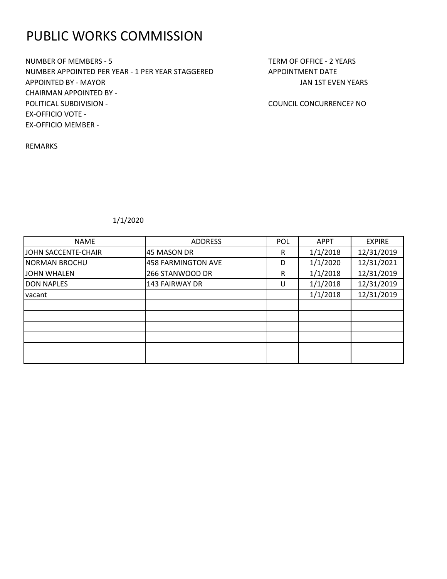# PUBLIC WORKS COMMISSION

NUMBER OF MEMBERS - 5 TERM OF OFFICE - 2 YEARS NUMBER APPOINTED PER YEAR - 1 PER YEAR STAGGERED APPOINTMENT DATE APPOINTED BY - MAYOR JAN 1ST EVEN YEARS CHAIRMAN APPOINTED BY - POLITICAL SUBDIVISION - COUNCIL CONCURRENCE? NO EX-OFFICIO VOTE - EX-OFFICIO MEMBER -

REMARKS

| <b>NAME</b>          | <b>ADDRESS</b>     | <b>POL</b> | <b>APPT</b> | <b>EXPIRE</b> |
|----------------------|--------------------|------------|-------------|---------------|
| JOHN SACCENTE-CHAIR  | 45 MASON DR        | R          | 1/1/2018    | 12/31/2019    |
| <b>NORMAN BROCHU</b> | 458 FARMINGTON AVE | D          | 1/1/2020    | 12/31/2021    |
| JOHN WHALEN          | 266 STANWOOD DR    | R          | 1/1/2018    | 12/31/2019    |
| <b>DON NAPLES</b>    | 143 FAIRWAY DR     | U          | 1/1/2018    | 12/31/2019    |
| vacant               |                    |            | 1/1/2018    | 12/31/2019    |
|                      |                    |            |             |               |
|                      |                    |            |             |               |
|                      |                    |            |             |               |
|                      |                    |            |             |               |
|                      |                    |            |             |               |
|                      |                    |            |             |               |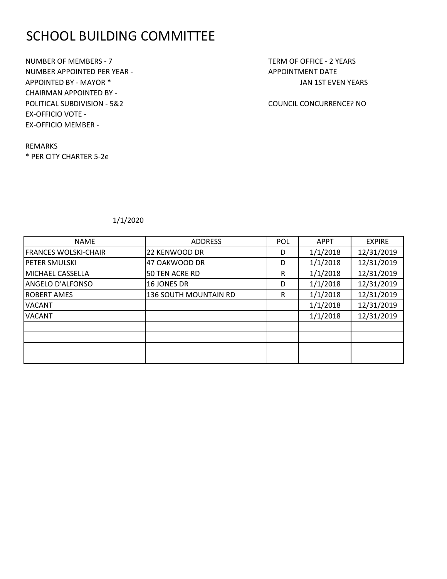# SCHOOL BUILDING COMMITTEE

NUMBER OF MEMBERS - 7 TERM OF OFFICE - 2 YEARS NUMBER APPOINTED PER YEAR - APPOINTMENT DATE APPOINTED BY - MAYOR \* THE SERVICE OF THE SERVICE OF THE SERVICE OF THE SERVICE OF THE SERVICE OF THE SERVICE OF THE SERVICE OF THE SERVICE OF THE SERVICE OF THE SERVICE OF THE SERVICE OF THE SERVICE OF THE SERVICE OF THE CHAIRMAN APPOINTED BY - POLITICAL SUBDIVISION - 5&2 COUNCIL CONCURRENCE? NO EX-OFFICIO VOTE - EX-OFFICIO MEMBER -

REMARKS \* PER CITY CHARTER 5-2e

| <b>NAME</b>             | <b>ADDRESS</b>               | <b>POL</b> | <b>APPT</b> | <b>EXPIRE</b> |
|-------------------------|------------------------------|------------|-------------|---------------|
| FRANCES WOLSKI-CHAIR    | 22 KENWOOD DR                | D          | 1/1/2018    | 12/31/2019    |
| <b>PETER SMULSKI</b>    | 47 OAKWOOD DR                | D          | 1/1/2018    | 12/31/2019    |
| MICHAEL CASSELLA        | 50 TEN ACRE RD               | R          | 1/1/2018    | 12/31/2019    |
| <b>ANGELO D'ALFONSO</b> | <b>16 JONES DR</b>           | D          | 1/1/2018    | 12/31/2019    |
| <b>ROBERT AMES</b>      | <b>136 SOUTH MOUNTAIN RD</b> | R          | 1/1/2018    | 12/31/2019    |
| <b>VACANT</b>           |                              |            | 1/1/2018    | 12/31/2019    |
| <b>VACANT</b>           |                              |            | 1/1/2018    | 12/31/2019    |
|                         |                              |            |             |               |
|                         |                              |            |             |               |
|                         |                              |            |             |               |
|                         |                              |            |             |               |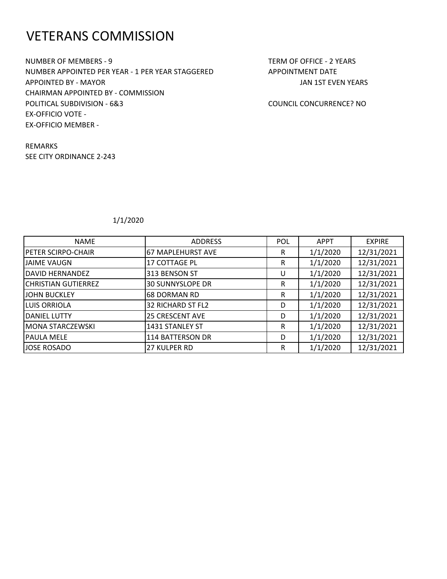### VETERANS COMMISSION

NUMBER OF MEMBERS - 9 TERM OF OFFICE - 2 YEARS NUMBER APPOINTED PER YEAR - 1 PER YEAR STAGGERED APPOINTMENT DATE APPOINTED BY - MAYOR JAN 1ST EVEN YEARS CHAIRMAN APPOINTED BY - COMMISSION POLITICAL SUBDIVISION - 6&3 COUNCIL CONCURRENCE? NO EX-OFFICIO VOTE - EX-OFFICIO MEMBER -

REMARKS SEE CITY ORDINANCE 2-243

| <b>NAME</b>                | <b>ADDRESS</b>          | <b>POL</b> | <b>APPT</b> | <b>EXPIRE</b> |
|----------------------------|-------------------------|------------|-------------|---------------|
| <b>PETER SCIRPO-CHAIR</b>  | 67 MAPLEHURST AVE       | R          | 1/1/2020    | 12/31/2021    |
| <b>JAIME VAUGN</b>         | <b>17 COTTAGE PL</b>    | R          | 1/1/2020    | 12/31/2021    |
| DAVID HERNANDEZ            | 313 BENSON ST           | U          | 1/1/2020    | 12/31/2021    |
| <b>CHRISTIAN GUTIERREZ</b> | <b>30 SUNNYSLOPE DR</b> | R          | 1/1/2020    | 12/31/2021    |
| <b>JOHN BUCKLEY</b>        | <b>68 DORMAN RD</b>     | R          | 1/1/2020    | 12/31/2021    |
| <b>LUIS ORRIOLA</b>        | 32 RICHARD ST FL2       | D          | 1/1/2020    | 12/31/2021    |
| <b>DANIEL LUTTY</b>        | <b>25 CRESCENT AVE</b>  | D          | 1/1/2020    | 12/31/2021    |
| MONA STARCZEWSKI           | 1431 STANLEY ST         | R          | 1/1/2020    | 12/31/2021    |
| <b>PAULA MELE</b>          | 114 BATTERSON DR        | D          | 1/1/2020    | 12/31/2021    |
| JOSE ROSADO                | <b>27 KULPER RD</b>     | R          | 1/1/2020    | 12/31/2021    |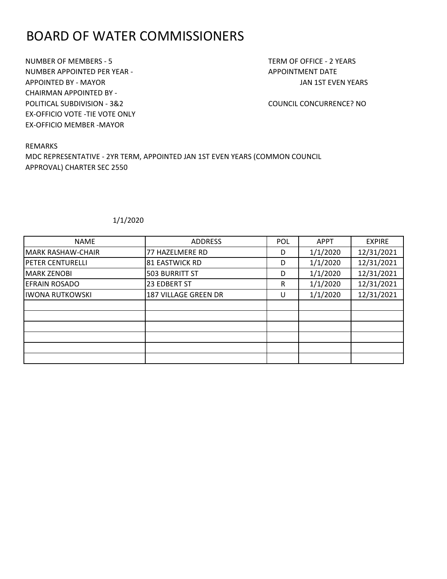### BOARD OF WATER COMMISSIONERS

NUMBER OF MEMBERS - 5 TERM OF OFFICE - 2 YEARS NUMBER APPOINTED PER YEAR - APPOINTMENT DATE APPOINTED BY - MAYOR JAN 1ST EVEN YEARS CHAIRMAN APPOINTED BY - POLITICAL SUBDIVISION - 3&2 COUNCIL CONCURRENCE? NO EX-OFFICIO VOTE -TIE VOTE ONLY EX-OFFICIO MEMBER -MAYOR

REMARKS MDC REPRESENTATIVE - 2YR TERM, APPOINTED JAN 1ST EVEN YEARS (COMMON COUNCIL APPROVAL) CHARTER SEC 2550

| <b>NAME</b>             | <b>ADDRESS</b>        | <b>POL</b> | <b>APPT</b> | <b>EXPIRE</b> |
|-------------------------|-----------------------|------------|-------------|---------------|
| MARK RASHAW-CHAIR       | 77 HAZELMERE RD       | D          | 1/1/2020    | 12/31/2021    |
| <b>PETER CENTURELLI</b> | <b>81 EASTWICK RD</b> | D          | 1/1/2020    | 12/31/2021    |
| <b>MARK ZENOBI</b>      | <b>503 BURRITT ST</b> | D          | 1/1/2020    | 12/31/2021    |
| <b>EFRAIN ROSADO</b>    | 23 EDBERT ST          | R          | 1/1/2020    | 12/31/2021    |
| <b>IWONA RUTKOWSKI</b>  | 187 VILLAGE GREEN DR  | U          | 1/1/2020    | 12/31/2021    |
|                         |                       |            |             |               |
|                         |                       |            |             |               |
|                         |                       |            |             |               |
|                         |                       |            |             |               |
|                         |                       |            |             |               |
|                         |                       |            |             |               |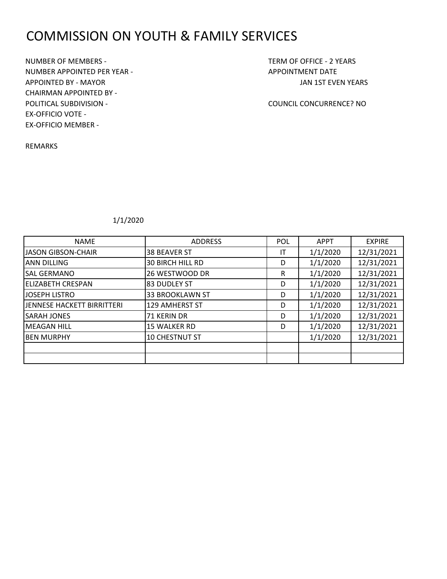# COMMISSION ON YOUTH & FAMILY SERVICES

NUMBER OF MEMBERS - TERM OF OFFICE - 2 YEARS NUMBER APPOINTED PER YEAR - APPOINTMENT DATE APPOINTED BY - MAYOR JAN 1ST EVEN YEARS CHAIRMAN APPOINTED BY - POLITICAL SUBDIVISION - COUNCIL CONCURRENCE? NO EX-OFFICIO VOTE - EX-OFFICIO MEMBER -

REMARKS

| <b>NAME</b>                | <b>ADDRESS</b>          | <b>POL</b> | <b>APPT</b> | <b>EXPIRE</b> |
|----------------------------|-------------------------|------------|-------------|---------------|
| <b>JASON GIBSON-CHAIR</b>  | <b>38 BEAVER ST</b>     | IT         | 1/1/2020    | 12/31/2021    |
| <b>ANN DILLING</b>         | <b>30 BIRCH HILL RD</b> | D          | 1/1/2020    | 12/31/2021    |
| <b>SAL GERMANO</b>         | 26 WESTWOOD DR          | R          | 1/1/2020    | 12/31/2021    |
| <b>ELIZABETH CRESPAN</b>   | 83 DUDLEY ST            | D          | 1/1/2020    | 12/31/2021    |
| JOSEPH LISTRO              | <b>33 BROOKLAWN ST</b>  | D          | 1/1/2020    | 12/31/2021    |
| JENNESE HACKETT BIRRITTERI | 129 AMHERST ST          | D          | 1/1/2020    | 12/31/2021    |
| <b>SARAH JONES</b>         | 71 KERIN DR             | D          | 1/1/2020    | 12/31/2021    |
| <b>MEAGAN HILL</b>         | 15 WALKER RD            | D          | 1/1/2020    | 12/31/2021    |
| <b>IBEN MURPHY</b>         | 10 CHESTNUT ST          |            | 1/1/2020    | 12/31/2021    |
|                            |                         |            |             |               |
|                            |                         |            |             |               |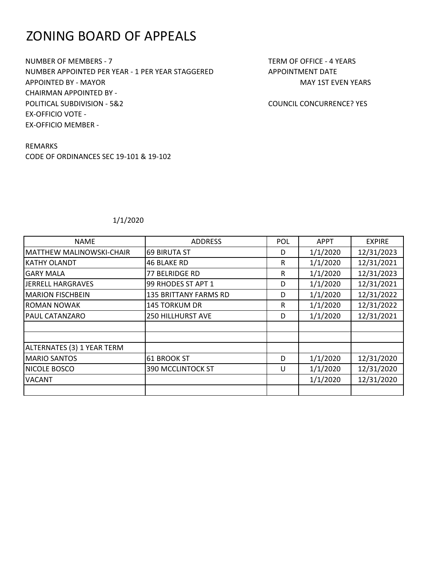# ZONING BOARD OF APPEALS

NUMBER OF MEMBERS - 7 TERM OF OFFICE - 4 YEARS NUMBER APPOINTED PER YEAR - 1 PER YEAR STAGGERED APPOINTMENT DATE APPOINTED BY - MAYOR MAY 15 APPOINTED BY - MAY 15 APPOINTED BY - MAY 15T EVEN YEARS CHAIRMAN APPOINTED BY - POLITICAL SUBDIVISION - 5&2 COUNCIL CONCURRENCE? YES EX-OFFICIO VOTE - EX-OFFICIO MEMBER -

REMARKS CODE OF ORDINANCES SEC 19-101 & 19-102

| <b>NAME</b>                | <b>ADDRESS</b>               | POL | <b>APPT</b> | <b>EXPIRE</b> |
|----------------------------|------------------------------|-----|-------------|---------------|
| MATTHEW MALINOWSKI-CHAIR   | <b>69 BIRUTA ST</b>          | D   | 1/1/2020    | 12/31/2023    |
| <b>KATHY OLANDT</b>        | 46 BLAKE RD                  | R   | 1/1/2020    | 12/31/2021    |
| <b>GARY MALA</b>           | 77 BELRIDGE RD               | R   | 1/1/2020    | 12/31/2023    |
| JERRELL HARGRAVES          | 99 RHODES ST APT 1           | D   | 1/1/2020    | 12/31/2021    |
| <b>MARION FISCHBEIN</b>    | <b>135 BRITTANY FARMS RD</b> | D   | 1/1/2020    | 12/31/2022    |
| <b>ROMAN NOWAK</b>         | 145 TORKUM DR                | R   | 1/1/2020    | 12/31/2022    |
| <b>PAUL CATANZARO</b>      | <b>250 HILLHURST AVE</b>     | D   | 1/1/2020    | 12/31/2021    |
|                            |                              |     |             |               |
|                            |                              |     |             |               |
| ALTERNATES (3) 1 YEAR TERM |                              |     |             |               |
| <b>MARIO SANTOS</b>        | 61 BROOK ST                  | D   | 1/1/2020    | 12/31/2020    |
| NICOLE BOSCO               | 390 MCCLINTOCK ST            | U   | 1/1/2020    | 12/31/2020    |
| <b>VACANT</b>              |                              |     | 1/1/2020    | 12/31/2020    |
|                            |                              |     |             |               |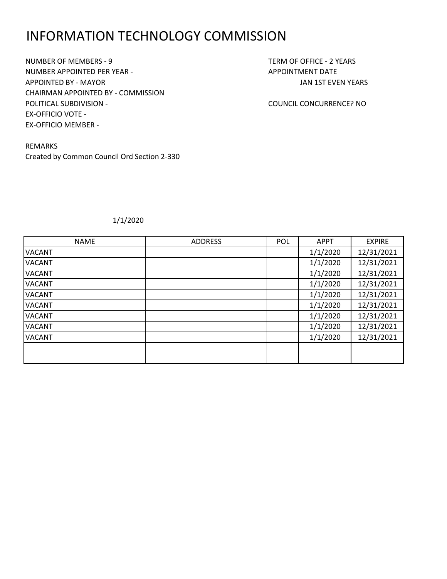### INFORMATION TECHNOLOGY COMMISSION

NUMBER OF MEMBERS - 9 TERM OF OFFICE - 2 YEARS NUMBER APPOINTED PER YEAR - APPOINTMENT DATE APPOINTED BY - MAYOR JAN 1ST EVEN YEARS CHAIRMAN APPOINTED BY - COMMISSION POLITICAL SUBDIVISION - COUNCIL CONCURRENCE? NO EX-OFFICIO VOTE - EX-OFFICIO MEMBER -

REMARKS Created by Common Council Ord Section 2-330

| <b>NAME</b>   | <b>ADDRESS</b> | POL | <b>APPT</b> | <b>EXPIRE</b> |
|---------------|----------------|-----|-------------|---------------|
| <b>VACANT</b> |                |     | 1/1/2020    | 12/31/2021    |
| <b>VACANT</b> |                |     | 1/1/2020    | 12/31/2021    |
| <b>VACANT</b> |                |     | 1/1/2020    | 12/31/2021    |
| <b>VACANT</b> |                |     | 1/1/2020    | 12/31/2021    |
| <b>VACANT</b> |                |     | 1/1/2020    | 12/31/2021    |
| <b>VACANT</b> |                |     | 1/1/2020    | 12/31/2021    |
| <b>VACANT</b> |                |     | 1/1/2020    | 12/31/2021    |
| <b>VACANT</b> |                |     | 1/1/2020    | 12/31/2021    |
| <b>VACANT</b> |                |     | 1/1/2020    | 12/31/2021    |
|               |                |     |             |               |
|               |                |     |             |               |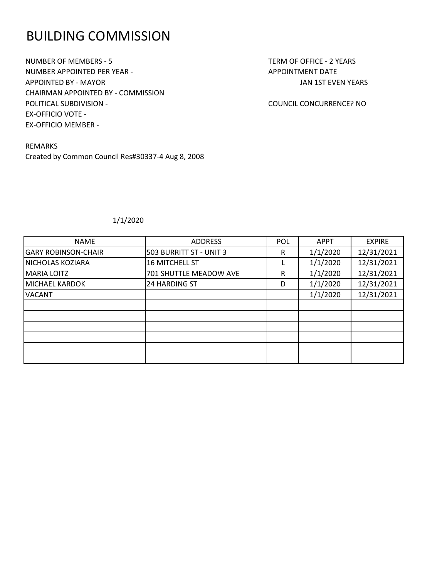### BUILDING COMMISSION

NUMBER OF MEMBERS - 5 TERM OF OFFICE - 2 YEARS NUMBER APPOINTED PER YEAR - APPOINTMENT DATE APPOINTED BY - MAYOR JAN 1ST EVEN YEARS CHAIRMAN APPOINTED BY - COMMISSION POLITICAL SUBDIVISION - COUNCIL CONCURRENCE? NO EX-OFFICIO VOTE - EX-OFFICIO MEMBER -

REMARKS Created by Common Council Res#30337-4 Aug 8, 2008

| <b>NAME</b>                | <b>ADDRESS</b>          | <b>POL</b> | <b>APPT</b> | <b>EXPIRE</b> |
|----------------------------|-------------------------|------------|-------------|---------------|
| <b>GARY ROBINSON-CHAIR</b> | 503 BURRITT ST - UNIT 3 | R          | 1/1/2020    | 12/31/2021    |
| NICHOLAS KOZIARA           | <b>16 MITCHELL ST</b>   |            | 1/1/2020    | 12/31/2021    |
| <b>MARIA LOITZ</b>         | 701 SHUTTLE MEADOW AVE  | R          | 1/1/2020    | 12/31/2021    |
| MICHAEL KARDOK             | <b>24 HARDING ST</b>    | D          | 1/1/2020    | 12/31/2021    |
| <b>VACANT</b>              |                         |            | 1/1/2020    | 12/31/2021    |
|                            |                         |            |             |               |
|                            |                         |            |             |               |
|                            |                         |            |             |               |
|                            |                         |            |             |               |
|                            |                         |            |             |               |
|                            |                         |            |             |               |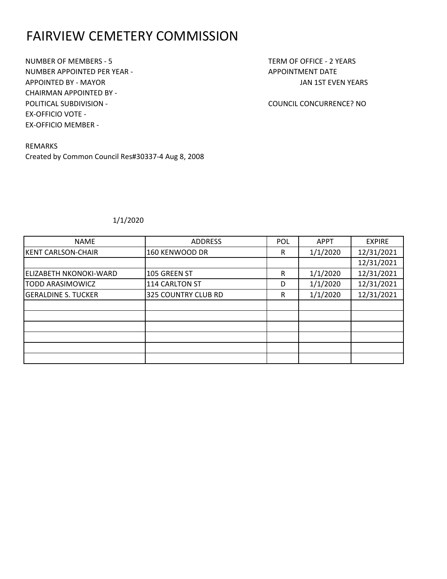# FAIRVIEW CEMETERY COMMISSION

NUMBER OF MEMBERS - 5 TERM OF OFFICE - 2 YEARS NUMBER APPOINTED PER YEAR - APPOINTMENT DATE APPOINTED BY - MAYOR JAN 1ST EVEN YEARS CHAIRMAN APPOINTED BY - POLITICAL SUBDIVISION - COUNCIL CONCURRENCE? NO EX-OFFICIO VOTE - EX-OFFICIO MEMBER -

REMARKS Created by Common Council Res#30337-4 Aug 8, 2008

| <b>NAME</b>                   | <b>ADDRESS</b>      | <b>POL</b> | <b>APPT</b> | <b>EXPIRE</b> |
|-------------------------------|---------------------|------------|-------------|---------------|
| <b>KENT CARLSON-CHAIR</b>     | 160 KENWOOD DR      | R          | 1/1/2020    | 12/31/2021    |
|                               |                     |            |             | 12/31/2021    |
| <b>ELIZABETH NKONOKI-WARD</b> | 105 GREEN ST        | R          | 1/1/2020    | 12/31/2021    |
| <b>TODD ARASIMOWICZ</b>       | 114 CARLTON ST      | D          | 1/1/2020    | 12/31/2021    |
| <b>GERALDINE S. TUCKER</b>    | 325 COUNTRY CLUB RD | R          | 1/1/2020    | 12/31/2021    |
|                               |                     |            |             |               |
|                               |                     |            |             |               |
|                               |                     |            |             |               |
|                               |                     |            |             |               |
|                               |                     |            |             |               |
|                               |                     |            |             |               |